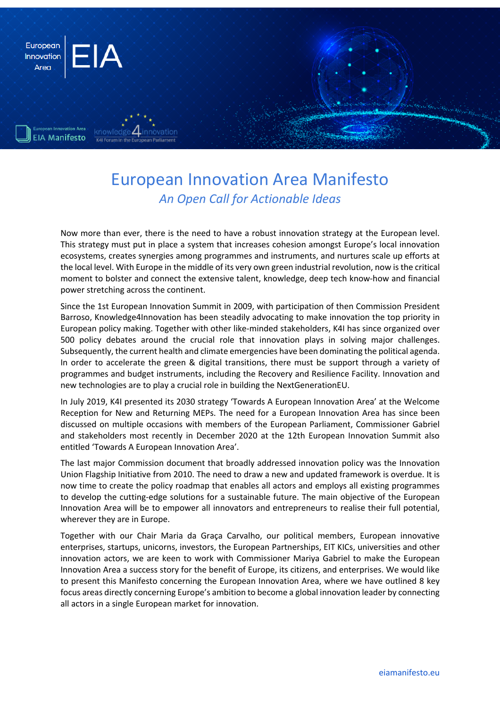

# European Innovation Area Manifesto *An Open Call for Actionable Ideas*

Now more than ever, there is the need to have a robust innovation strategy at the European level. This strategy must put in place a system that increases cohesion amongst Europe's local innovation ecosystems, creates synergies among programmes and instruments, and nurtures scale up efforts at the local level. With Europe in the middle of its very own green industrial revolution, now is the critical moment to bolster and connect the extensive talent, knowledge, deep tech know-how and financial power stretching across the continent.

Since the 1st European Innovation Summit in 2009, with participation of then Commission President Barroso, Knowledge4Innovation has been steadily advocating to make innovation the top priority in European policy making. Together with other like-minded stakeholders, K4I has since organized over 500 policy debates around the crucial role that innovation plays in solving major challenges. Subsequently, the current health and climate emergencies have been dominating the political agenda. In order to accelerate the green & digital transitions, there must be support through a variety of programmes and budget instruments, including the Recovery and Resilience Facility. Innovation and new technologies are to play a crucial role in building the NextGenerationEU.

In July 2019, K4I presented its 2030 strategy 'Towards A European Innovation Area' at the Welcome Reception for New and Returning MEPs. The need for a European Innovation Area has since been discussed on multiple occasions with members of the European Parliament, Commissioner Gabriel and stakeholders most recently in December 2020 at the 12th European Innovation Summit also entitled 'Towards A European Innovation Area'.

The last major Commission document that broadly addressed innovation policy was the Innovation Union Flagship Initiative from 2010. The need to draw a new and updated framework is overdue. It is now time to create the policy roadmap that enables all actors and employs all existing programmes to develop the cutting-edge solutions for a sustainable future. The main objective of the European Innovation Area will be to empower all innovators and entrepreneurs to realise their full potential, wherever they are in Europe.

Together with our Chair Maria da Graça Carvalho, our political members, European innovative enterprises, startups, unicorns, investors, the European Partnerships, EIT KICs, universities and other innovation actors, we are keen to work with Commissioner Mariya Gabriel to make the European Innovation Area a success story for the benefit of Europe, its citizens, and enterprises. We would like to present this Manifesto concerning the European Innovation Area, where we have outlined 8 key focus areas directly concerning Europe's ambition to become a global innovation leader by connecting all actors in a single European market for innovation.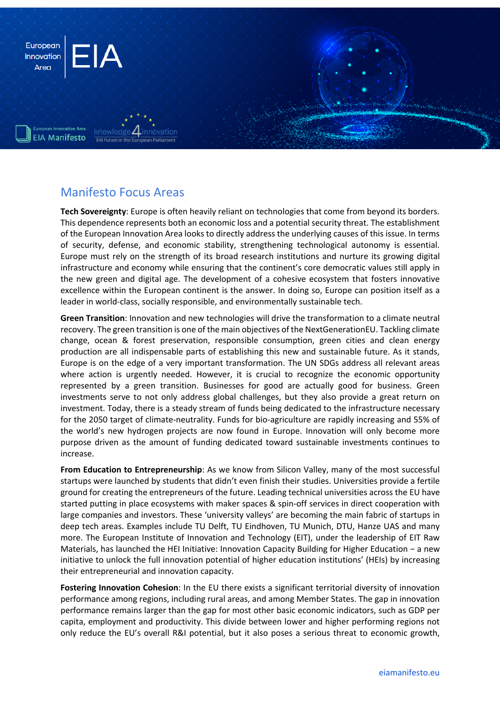

#### Manifesto Focus Areas

**Tech Sovereignty**: Europe is often heavily reliant on technologies that come from beyond its borders. This dependence represents both an economic loss and a potential security threat. The establishment of the European Innovation Area looks to directly address the underlying causes of this issue. In terms of security, defense, and economic stability, strengthening technological autonomy is essential. Europe must rely on the strength of its broad research institutions and nurture its growing digital infrastructure and economy while ensuring that the continent's core democratic values still apply in the new green and digital age. The development of a cohesive ecosystem that fosters innovative excellence within the European continent is the answer. In doing so, Europe can position itself as a leader in world-class, socially responsible, and environmentally sustainable tech.

**Green Transition**: Innovation and new technologies will drive the transformation to a climate neutral recovery. The green transition is one of the main objectives of the NextGenerationEU. Tackling climate change, ocean & forest preservation, responsible consumption, green cities and clean energy production are all indispensable parts of establishing this new and sustainable future. As it stands, Europe is on the edge of a very important transformation. The UN SDGs address all relevant areas where action is urgently needed. However, it is crucial to recognize the economic opportunity represented by a green transition. Businesses for good are actually good for business. Green investments serve to not only address global challenges, but they also provide a great return on investment. Today, there is a steady stream of funds being dedicated to the infrastructure necessary for the 2050 target of climate-neutrality. Funds for bio-agriculture are rapidly increasing and 55% of the world's new hydrogen projects are now found in Europe. Innovation will only become more purpose driven as the amount of funding dedicated toward sustainable investments continues to increase.

**From Education to Entrepreneurship**: As we know from Silicon Valley, many of the most successful startups were launched by students that didn't even finish their studies. Universities provide a fertile ground for creating the entrepreneurs of the future. Leading technical universities across the EU have started putting in place ecosystems with maker spaces & spin-off services in direct cooperation with large companies and investors. These 'university valleys' are becoming the main fabric of startups in deep tech areas. Examples include TU Delft, TU Eindhoven, TU Munich, DTU, Hanze UAS and many more. The European Institute of Innovation and Technology (EIT), under the leadership of EIT Raw Materials, has launched the HEI Initiative: Innovation Capacity Building for Higher Education − a new initiative to unlock the full innovation potential of higher education institutions' (HEIs) by increasing their entrepreneurial and innovation capacity.

**Fostering Innovation Cohesion**: In the EU there exists a significant territorial diversity of innovation performance among regions, including rural areas, and among Member States. The gap in innovation performance remains larger than the gap for most other basic economic indicators, such as GDP per capita, employment and productivity. This divide between lower and higher performing regions not only reduce the EU's overall R&I potential, but it also poses a serious threat to economic growth,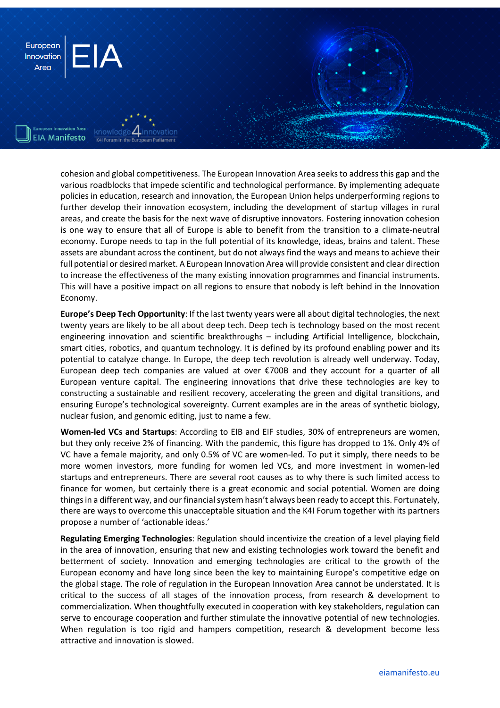

cohesion and global competitiveness. The European Innovation Area seeks to address this gap and the various roadblocks that impede scientific and technological performance. By implementing adequate policies in education, research and innovation, the European Union helps underperforming regions to further develop their innovation ecosystem, including the development of startup villages in rural areas, and create the basis for the next wave of disruptive innovators. Fostering innovation cohesion is one way to ensure that all of Europe is able to benefit from the transition to a climate-neutral economy. Europe needs to tap in the full potential of its knowledge, ideas, brains and talent. These assets are abundant across the continent, but do not always find the ways and means to achieve their full potential or desired market. A European Innovation Area will provide consistent and clear direction to increase the effectiveness of the many existing innovation programmes and financial instruments. This will have a positive impact on all regions to ensure that nobody is left behind in the Innovation Economy.

**Europe's Deep Tech Opportunity**: If the last twenty years were all about digital technologies, the next twenty years are likely to be all about deep tech. Deep tech is technology based on the most recent engineering innovation and scientific breakthroughs – including Artificial Intelligence, blockchain, smart cities, robotics, and quantum technology. It is defined by its profound enabling power and its potential to catalyze change. In Europe, the deep tech revolution is already well underway. Today, European deep tech companies are valued at over €700B and they account for a quarter of all European venture capital. The engineering innovations that drive these technologies are key to constructing a sustainable and resilient recovery, accelerating the green and digital transitions, and ensuring Europe's technological sovereignty. Current examples are in the areas of synthetic biology, nuclear fusion, and genomic editing, just to name a few.

**Women-led VCs and Startups**: According to EIB and EIF studies, 30% of entrepreneurs are women, but they only receive 2% of financing. With the pandemic, this figure has dropped to 1%. Only 4% of VC have a female majority, and only 0.5% of VC are women-led. To put it simply, there needs to be more women investors, more funding for women led VCs, and more investment in women-led startups and entrepreneurs. There are several root causes as to why there is such limited access to finance for women, but certainly there is a great economic and social potential. Women are doing things in a different way, and our financial system hasn't always been ready to accept this. Fortunately, there are ways to overcome this unacceptable situation and the K4I Forum together with its partners propose a number of 'actionable ideas.'

**Regulating Emerging Technologies**: Regulation should incentivize the creation of a level playing field in the area of innovation, ensuring that new and existing technologies work toward the benefit and betterment of society. Innovation and emerging technologies are critical to the growth of the European economy and have long since been the key to maintaining Europe's competitive edge on the global stage. The role of regulation in the European Innovation Area cannot be understated. It is critical to the success of all stages of the innovation process, from research & development to commercialization. When thoughtfully executed in cooperation with key stakeholders, regulation can serve to encourage cooperation and further stimulate the innovative potential of new technologies. When regulation is too rigid and hampers competition, research & development become less attractive and innovation is slowed.